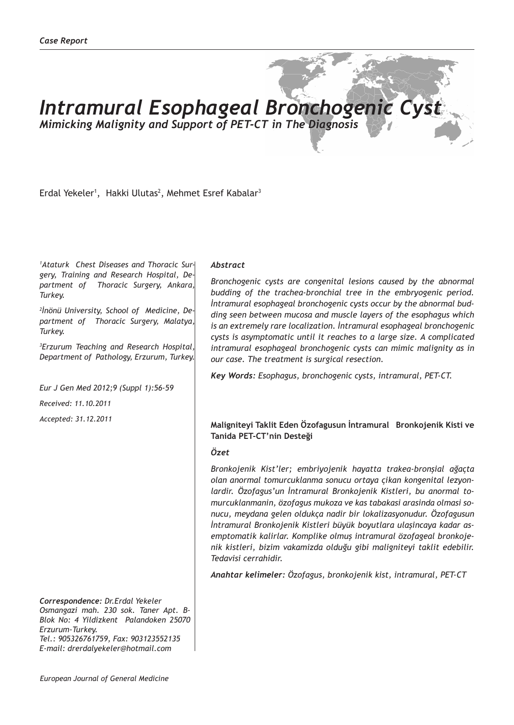# *Intramural Esophageal Bronchogenic Cyst*

*Mimicking Malignity and Support of PET-CT in The Diagnosis*

Erdal Yekeler<sup>1</sup>, Hakki Ulutas<sup>2</sup>, Mehmet Esref Kabalar<sup>3</sup>

*1 Ataturk Chest Diseases and Thoracic Surgery, Training and Research Hospital, Department of Thoracic Surgery, Ankara, Turkey.*

*2 İnönü University, School of Medicine, Department of Thoracic Surgery, Malatya, Turkey.*

*3 Erzurum Teaching and Research Hospital, Department of Pathology, Erzurum, Turkey.*

*Eur J Gen Med 2012;9 (Suppl 1):56-59*

*Received: 11.10.2011*

*Accepted: 31.12.2011*

*Correspondence: Dr.Erdal Yekeler Osmangazi mah. 230 sok. Taner Apt. B-Blok No: 4 Yildizkent Palandoken 25070 Erzurum-Turkey. Tel.: 905326761759, Fax: 903123552135 E-mail: drerdalyekeler@hotmail.com*

#### *Abstract*

*Bronchogenic cysts are congenital lesions caused by the abnormal budding of the trachea-bronchial tree in the embryogenic period. İntramural esophageal bronchogenic cysts occur by the abnormal budding seen between mucosa and muscle layers of the esophagus which is an extremely rare localization. İntramural esophageal bronchogenic cysts is asymptomatic until it reaches to a large size. A complicated intramural esophageal bronchogenic cysts can mimic malignity as in our case. The treatment is surgical resection.*

*Key Words: Esophagus, bronchogenic cysts, intramural, PET-CT.*

## **Maligniteyi Taklit Eden Özofagusun İntramural Bronkojenik Kisti ve Tanida PET-CT'nin Desteği**

## *Özet*

*Bronkojenik Kist'ler; embriyojenik hayatta trakea-bronşial ağaçta olan anormal tomurcuklanma sonucu ortaya çikan kongenital lezyonlardir. Özofagus'un İntramural Bronkojenik Kistleri, bu anormal tomurcuklanmanin, özofagus mukoza ve kas tabakasi arasinda olmasi sonucu, meydana gelen oldukça nadir bir lokalizasyonudur. Özofagusun İntramural Bronkojenik Kistleri büyük boyutlara ulaşincaya kadar asemptomatik kalirlar. Komplike olmuş intramural özofageal bronkojenik kistleri, bizim vakamizda olduğu gibi maligniteyi taklit edebilir. Tedavisi cerrahidir.*

*Anahtar kelimeler: Özofagus, bronkojenik kist, intramural, PET-CT*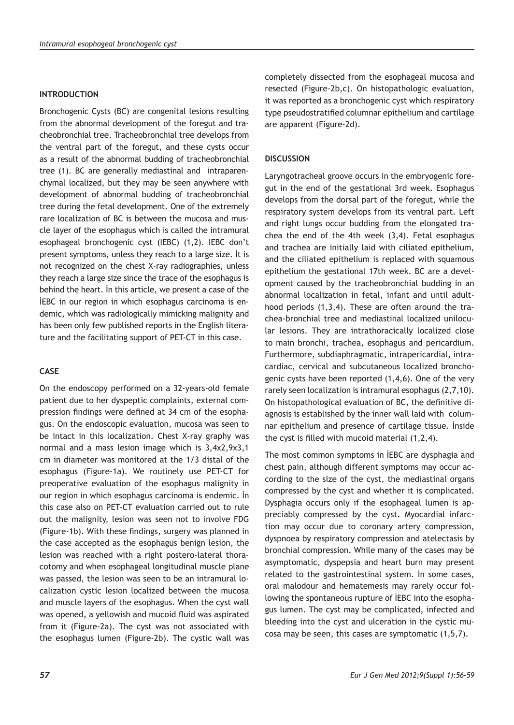#### **INTRODUCTION**

Bronchogenic Cysts (BC) are congenital lesions resulting from the abnormal development of the foregut and tracheobronchial tree. Tracheobronchial tree develops from the ventral part of the foregut, and these cysts occur as a result of the abnormal budding of tracheobronchial tree (1). BC are generally mediastinal and intraparenchymal localized, but they may be seen anywhere with development of abnormal budding of tracheobronchial tree during the fetal development. One of the extremely rare localization of BC is between the mucosa and muscle layer of the esophagus which is called the intramural esophageal bronchogenic cyst (IEBC) (1,2). IEBC don't present symptoms, unless they reach to a large size. İt is not recognized on the chest X-ray radiographies, unless they reach a large size since the trace of the esophagus is behind the heart. İn this article, we present a case of the İEBC in our region in which esophagus carcinoma is endemic, which was radiologically mimicking malignity and has been only few published reports in the English literature and the facilitating support of PET-CT in this case.

# **CASE**

On the endoscopy performed on a 32-years-old female patient due to her dyspeptic complaints, external compression findings were defined at 34 cm of the esophagus. On the endoscopic evaluation, mucosa was seen to be intact in this localization. Chest X-ray graphy was normal and a mass lesion image which is 3,4x2,9x3,1 cm in diameter was monitored at the 1/3 distal of the esophagus (Figure-1a). We routinely use PET-CT for preoperative evaluation of the esophagus malignity in our region in which esophagus carcinoma is endemic. İn this case also on PET-CT evaluation carried out to rule out the malignity, lesion was seen not to involve FDG (Figure-1b). With these findings, surgery was planned in the case accepted as the esophagus benign lesion, the lesion was reached with a right postero-lateral thoracotomy and when esophageal longitudinal muscle plane was passed, the lesion was seen to be an intramural localization cystic lesion localized between the mucosa and muscle layers of the esophagus. When the cyst wall was opened, a yellowish and mucoid fluid was aspirated from it (Figure-2a). The cyst was not associated with the esophagus lumen (Figure-2b). The cystic wall was completely dissected from the esophageal mucosa and resected (Figure-2b,c). On histopathologic evaluation, it was reported as a bronchogenic cyst which respiratory type pseudostratified columnar epithelium and cartilage are apparent (Figure-2d).

#### **DISCUSSION**

Laryngotracheal groove occurs in the embryogenic foregut in the end of the gestational 3rd week. Esophagus develops from the dorsal part of the foregut, while the respiratory system develops from its ventral part. Left and right lungs occur budding from the elongated trachea the end of the 4th week (3,4). Fetal esophagus and trachea are initially laid with ciliated epithelium, and the ciliated epithelium is replaced with squamous epithelium the gestational 17th week. BC are a development caused by the tracheobronchial budding in an abnormal localization in fetal, infant and until adulthood periods (1,3,4). These are often around the trachea-bronchial tree and mediastinal localized unilocular lesions. They are intrathoracically localized close to main bronchi, trachea, esophagus and pericardium. Furthermore, subdiaphragmatic, intrapericardial, intracardiac, cervical and subcutaneous localized bronchogenic cysts have been reported (1,4,6). One of the very rarely seen localization is intramural esophagus (2,7,10). On histopathological evaluation of BC, the definitive diagnosis is established by the inner wall laid with columnar epithelium and presence of cartilage tissue. İnside the cyst is filled with mucoid material (1,2,4).

The most common symptoms in İEBC are dysphagia and chest pain, although different symptoms may occur according to the size of the cyst, the mediastinal organs compressed by the cyst and whether it is complicated. Dysphagia occurs only if the esophageal lumen is appreciably compressed by the cyst. Myocardial infarction may occur due to coronary artery compression, dyspnoea by respiratory compression and atelectasis by bronchial compression. While many of the cases may be asymptomatic, dyspepsia and heart burn may present related to the gastrointestinal system. İn some cases, oral malodour and hematemesis may rarely occur following the spontaneous rupture of İEBC into the esophagus lumen. The cyst may be complicated, infected and bleeding into the cyst and ulceration in the cystic mucosa may be seen, this cases are symptomatic (1,5,7).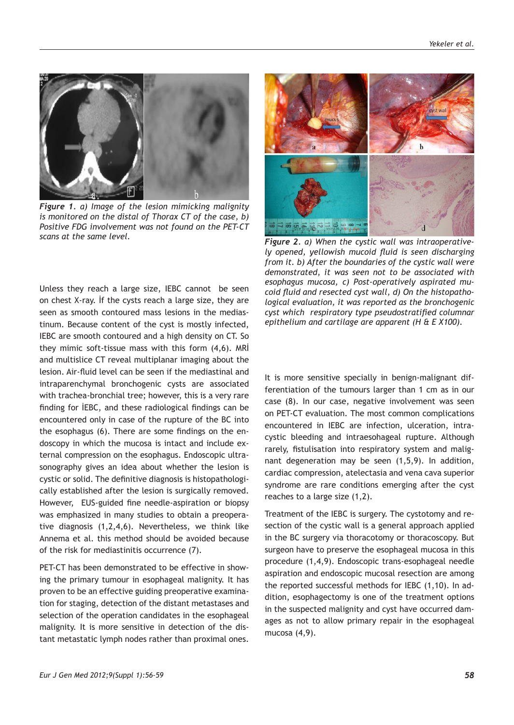

*Figure 1. a) Image of the lesion mimicking malignity is monitored on the distal of Thorax CT of the case, b) Positive FDG involvement was not found on the PET-CT scans at the same level. Figure 2. a) When the cystic wall was intraoperative-*

Unless they reach a large size, IEBC cannot be seen on chest X-ray. İf the cysts reach a large size, they are seen as smooth contoured mass lesions in the mediastinum. Because content of the cyst is mostly infected, IEBC are smooth contoured and a high density on CT. So they mimic soft-tissue mass with this form (4,6). MRİ and multislice CT reveal multiplanar imaging about the lesion. Air-fluid level can be seen if the mediastinal and intraparenchymal bronchogenic cysts are associated with trachea-bronchial tree; however, this is a very rare finding for İEBC, and these radiological findings can be encountered only in case of the rupture of the BC into the esophagus (6). There are some findings on the endoscopy in which the mucosa is intact and include external compression on the esophagus. Endoscopic ultrasonography gives an idea about whether the lesion is cystic or solid. The definitive diagnosis is histopathologically established after the lesion is surgically removed. However, EUS-guided fine needle-aspiration or biopsy was emphasized in many studies to obtain a preoperative diagnosis (1,2,4,6). Nevertheless, we think like Annema et al. this method should be avoided because of the risk for mediastinitis occurrence (7).

PET-CT has been demonstrated to be effective in showing the primary tumour in esophageal malignity. It has proven to be an effective guiding preoperative examination for staging, detection of the distant metastases and selection of the operation candidates in the esophageal malignity. It is more sensitive in detection of the distant metastatic lymph nodes rather than proximal ones.



*ly opened, yellowish mucoid fluid is seen discharging from it. b) After the boundaries of the cystic wall were demonstrated, it was seen not to be associated with esophagus mucosa, c) Post-operatively aspirated mucoid fluid and resected cyst wall, d) On the histopathological evaluation, it was reported as the bronchogenic cyst which respiratory type pseudostratified columnar epithelium and cartilage are apparent (H & E X100).*

It is more sensitive specially in benign-malignant differentiation of the tumours larger than 1 cm as in our case (8). In our case, negative involvement was seen on PET-CT evaluation. The most common complications encountered in IEBC are infection, ulceration, intracystic bleeding and intraesohageal rupture. Although rarely, fistulisation into respiratory system and malignant degeneration may be seen (1,5,9). In addition, cardiac compression, atelectasia and vena cava superior syndrome are rare conditions emerging after the cyst reaches to a large size (1,2).

Treatment of the IEBC is surgery. The cystotomy and resection of the cystic wall is a general approach applied in the BC surgery via thoracotomy or thoracoscopy. But surgeon have to preserve the esophageal mucosa in this procedure (1,4,9). Endoscopic trans-esophageal needle aspiration and endoscopic mucosal resection are among the reported successful methods for IEBC (1,10). In addition, esophagectomy is one of the treatment options in the suspected malignity and cyst have occurred damages as not to allow primary repair in the esophageal mucosa (4,9).